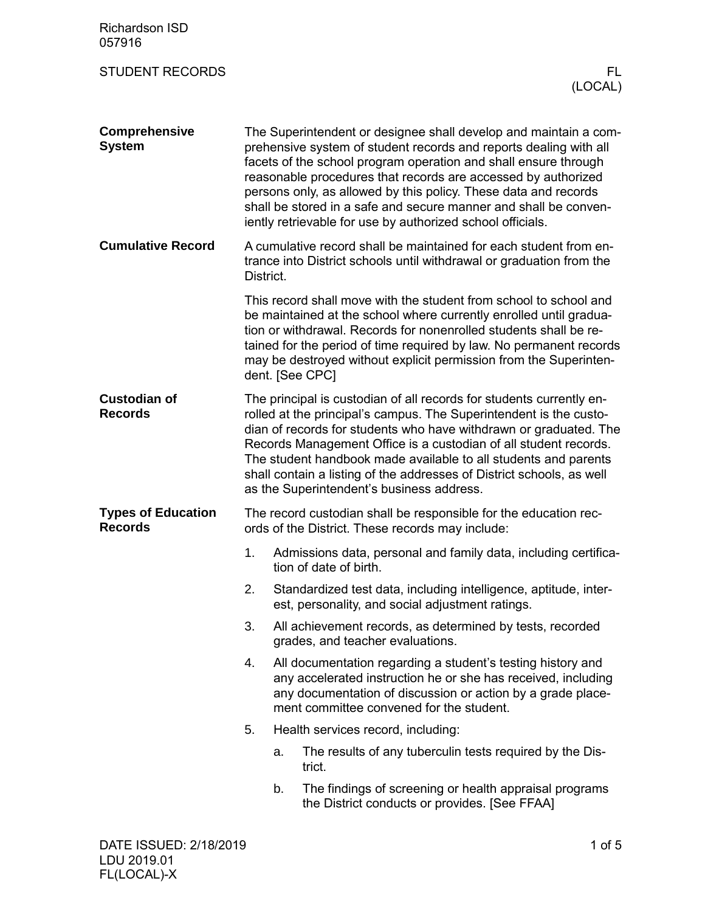| <b>Richardson ISD</b><br>057916             |           |                 |                                                                                                                                                                                                                                                                                                                                                                                                                                                                                |
|---------------------------------------------|-----------|-----------------|--------------------------------------------------------------------------------------------------------------------------------------------------------------------------------------------------------------------------------------------------------------------------------------------------------------------------------------------------------------------------------------------------------------------------------------------------------------------------------|
| <b>STUDENT RECORDS</b>                      |           |                 | FL.<br>(LOCAL)                                                                                                                                                                                                                                                                                                                                                                                                                                                                 |
| <b>Comprehensive</b><br><b>System</b>       |           |                 | The Superintendent or designee shall develop and maintain a com-<br>prehensive system of student records and reports dealing with all<br>facets of the school program operation and shall ensure through<br>reasonable procedures that records are accessed by authorized<br>persons only, as allowed by this policy. These data and records<br>shall be stored in a safe and secure manner and shall be conven-<br>iently retrievable for use by authorized school officials. |
| <b>Cumulative Record</b>                    | District. |                 | A cumulative record shall be maintained for each student from en-<br>trance into District schools until withdrawal or graduation from the                                                                                                                                                                                                                                                                                                                                      |
|                                             |           | dent. [See CPC] | This record shall move with the student from school to school and<br>be maintained at the school where currently enrolled until gradua-<br>tion or withdrawal. Records for nonenrolled students shall be re-<br>tained for the period of time required by law. No permanent records<br>may be destroyed without explicit permission from the Superinten-                                                                                                                       |
| <b>Custodian of</b><br><b>Records</b>       |           |                 | The principal is custodian of all records for students currently en-<br>rolled at the principal's campus. The Superintendent is the custo-<br>dian of records for students who have withdrawn or graduated. The<br>Records Management Office is a custodian of all student records.<br>The student handbook made available to all students and parents<br>shall contain a listing of the addresses of District schools, as well<br>as the Superintendent's business address.   |
| <b>Types of Education</b><br><b>Records</b> |           |                 | The record custodian shall be responsible for the education rec-<br>ords of the District. These records may include:                                                                                                                                                                                                                                                                                                                                                           |
|                                             | 1.        |                 | Admissions data, personal and family data, including certifica-<br>tion of date of birth.                                                                                                                                                                                                                                                                                                                                                                                      |
|                                             | 2.        |                 | Standardized test data, including intelligence, aptitude, inter-<br>est, personality, and social adjustment ratings.                                                                                                                                                                                                                                                                                                                                                           |
|                                             | 3.        |                 | All achievement records, as determined by tests, recorded<br>grades, and teacher evaluations.                                                                                                                                                                                                                                                                                                                                                                                  |
|                                             | 4.        |                 | All documentation regarding a student's testing history and<br>any accelerated instruction he or she has received, including<br>any documentation of discussion or action by a grade place-<br>ment committee convened for the student.                                                                                                                                                                                                                                        |
|                                             | 5.        |                 | Health services record, including:                                                                                                                                                                                                                                                                                                                                                                                                                                             |
|                                             |           | a.              | The results of any tuberculin tests required by the Dis-<br>trict.                                                                                                                                                                                                                                                                                                                                                                                                             |
|                                             |           | b.              | The findings of screening or health appraisal programs<br>the District conducts or provides. [See FFAA]                                                                                                                                                                                                                                                                                                                                                                        |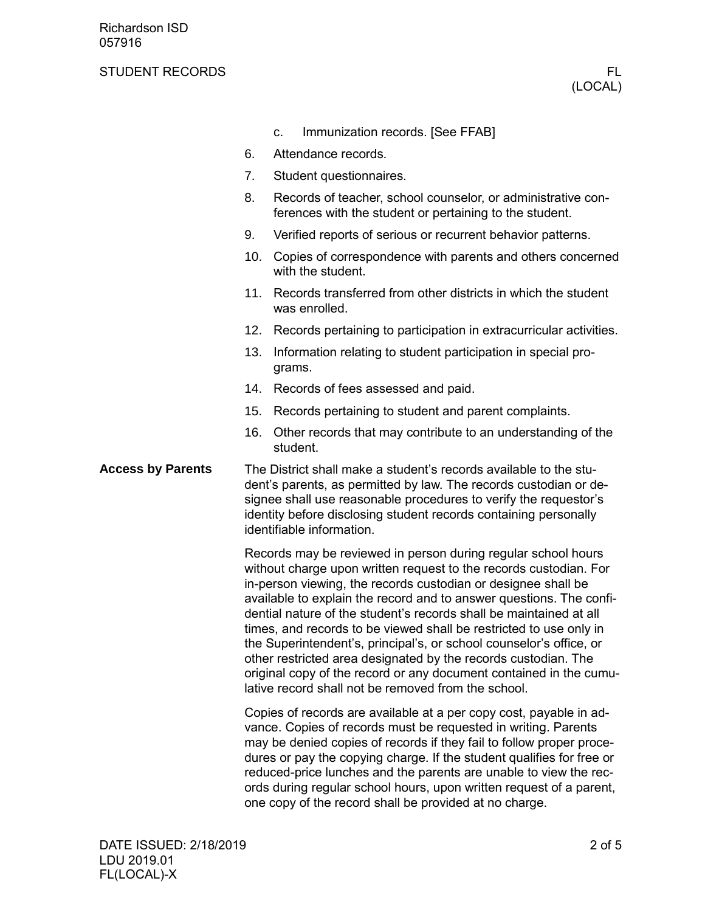## STUDENT RECORDS FLOW THE STUDENT RECORDS FLOW THAT IS A RECORD FLOW THAT IS A RECORD FLOW THAT IS A RECORD FLOW THAT IS A RECORD FLOW THAT IS A RECORD FLOW THAT IS A RECORD FLOW THAT IS A RECORD FLOW THAT IS A RECORD FLOW

|  | C. | Immunization records. [See FFAB] |  |  |
|--|----|----------------------------------|--|--|
|--|----|----------------------------------|--|--|

- 6. Attendance records.
- 7. Student questionnaires.
- 8. Records of teacher, school counselor, or administrative conferences with the student or pertaining to the student.
- 9. Verified reports of serious or recurrent behavior patterns.
- 10. Copies of correspondence with parents and others concerned with the student.
- 11. Records transferred from other districts in which the student was enrolled.
- 12. Records pertaining to participation in extracurricular activities.
- 13. Information relating to student participation in special programs.
- 14. Records of fees assessed and paid.
- 15. Records pertaining to student and parent complaints.
- 16. Other records that may contribute to an understanding of the student.
- The District shall make a student's records available to the student's parents, as permitted by law. The records custodian or designee shall use reasonable procedures to verify the requestor's identity before disclosing student records containing personally identifiable information. **Access by Parents**

Records may be reviewed in person during regular school hours without charge upon written request to the records custodian. For in-person viewing, the records custodian or designee shall be available to explain the record and to answer questions. The confidential nature of the student's records shall be maintained at all times, and records to be viewed shall be restricted to use only in the Superintendent's, principal's, or school counselor's office, or other restricted area designated by the records custodian. The original copy of the record or any document contained in the cumulative record shall not be removed from the school.

Copies of records are available at a per copy cost, payable in advance. Copies of records must be requested in writing. Parents may be denied copies of records if they fail to follow proper procedures or pay the copying charge. If the student qualifies for free or reduced-price lunches and the parents are unable to view the records during regular school hours, upon written request of a parent, one copy of the record shall be provided at no charge.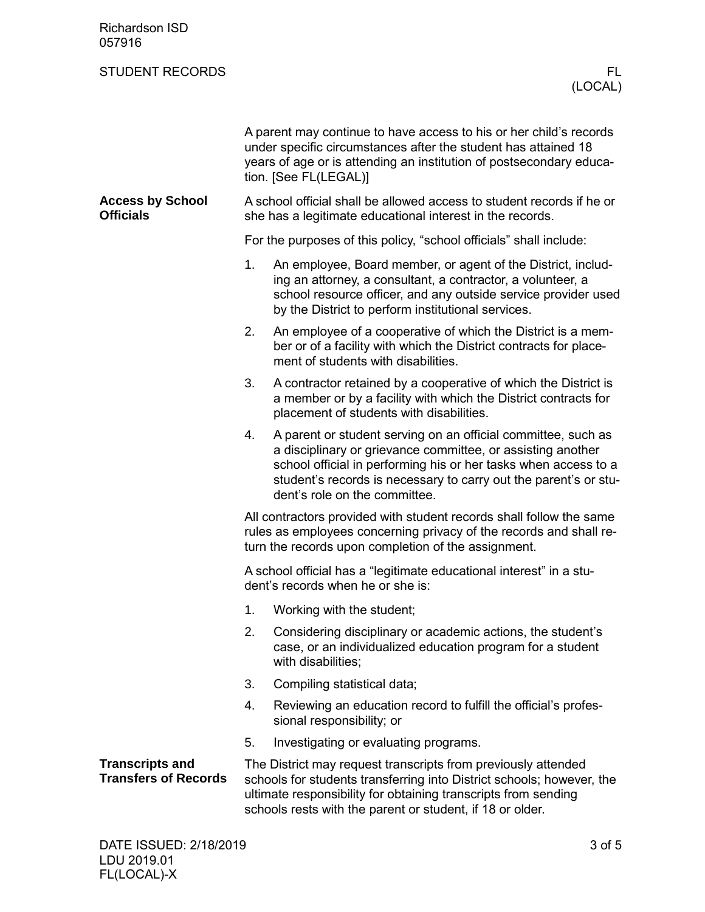| <b>Richardson ISD</b><br>057916                       |    |                                                                                                                                                                                                                                                                                                      |
|-------------------------------------------------------|----|------------------------------------------------------------------------------------------------------------------------------------------------------------------------------------------------------------------------------------------------------------------------------------------------------|
| <b>STUDENT RECORDS</b>                                |    | FL.<br>(LOCAL)                                                                                                                                                                                                                                                                                       |
|                                                       |    | A parent may continue to have access to his or her child's records<br>under specific circumstances after the student has attained 18<br>years of age or is attending an institution of postsecondary educa-<br>tion. [See FL(LEGAL)]                                                                 |
| <b>Access by School</b><br><b>Officials</b>           |    | A school official shall be allowed access to student records if he or<br>she has a legitimate educational interest in the records.                                                                                                                                                                   |
|                                                       |    | For the purposes of this policy, "school officials" shall include:                                                                                                                                                                                                                                   |
|                                                       | 1. | An employee, Board member, or agent of the District, includ-<br>ing an attorney, a consultant, a contractor, a volunteer, a<br>school resource officer, and any outside service provider used<br>by the District to perform institutional services.                                                  |
|                                                       | 2. | An employee of a cooperative of which the District is a mem-<br>ber or of a facility with which the District contracts for place-<br>ment of students with disabilities.                                                                                                                             |
|                                                       | 3. | A contractor retained by a cooperative of which the District is<br>a member or by a facility with which the District contracts for<br>placement of students with disabilities.                                                                                                                       |
|                                                       | 4. | A parent or student serving on an official committee, such as<br>a disciplinary or grievance committee, or assisting another<br>school official in performing his or her tasks when access to a<br>student's records is necessary to carry out the parent's or stu-<br>dent's role on the committee. |
|                                                       |    | All contractors provided with student records shall follow the same<br>rules as employees concerning privacy of the records and shall re-<br>turn the records upon completion of the assignment.                                                                                                     |
|                                                       |    | A school official has a "legitimate educational interest" in a stu-<br>dent's records when he or she is:                                                                                                                                                                                             |
|                                                       | 1. | Working with the student;                                                                                                                                                                                                                                                                            |
|                                                       | 2. | Considering disciplinary or academic actions, the student's<br>case, or an individualized education program for a student<br>with disabilities;                                                                                                                                                      |
|                                                       | 3. | Compiling statistical data;                                                                                                                                                                                                                                                                          |
|                                                       | 4. | Reviewing an education record to fulfill the official's profes-<br>sional responsibility; or                                                                                                                                                                                                         |
|                                                       | 5. | Investigating or evaluating programs.                                                                                                                                                                                                                                                                |
| <b>Transcripts and</b><br><b>Transfers of Records</b> |    | The District may request transcripts from previously attended<br>schools for students transferring into District schools; however, the<br>ultimate responsibility for obtaining transcripts from sending<br>schools rests with the parent or student, if 18 or older.                                |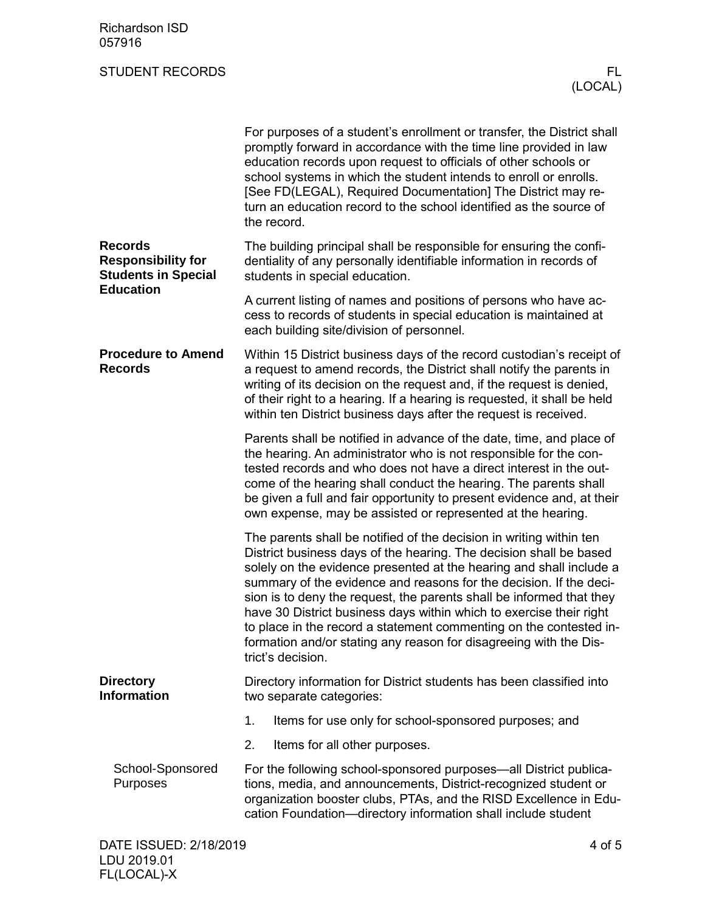## STUDENT RECORDS FLOW THE STUDENT RECORDS FLOW THE STUDENT RECORDS FLOW THE STUDENT RECORDS

|                                                                           | For purposes of a student's enrollment or transfer, the District shall<br>promptly forward in accordance with the time line provided in law<br>education records upon request to officials of other schools or<br>school systems in which the student intends to enroll or enrolls.<br>[See FD(LEGAL), Required Documentation] The District may re-<br>turn an education record to the school identified as the source of<br>the record.                                                                                                                                                              |  |  |
|---------------------------------------------------------------------------|-------------------------------------------------------------------------------------------------------------------------------------------------------------------------------------------------------------------------------------------------------------------------------------------------------------------------------------------------------------------------------------------------------------------------------------------------------------------------------------------------------------------------------------------------------------------------------------------------------|--|--|
| <b>Records</b><br><b>Responsibility for</b><br><b>Students in Special</b> | The building principal shall be responsible for ensuring the confi-<br>dentiality of any personally identifiable information in records of<br>students in special education.                                                                                                                                                                                                                                                                                                                                                                                                                          |  |  |
| <b>Education</b>                                                          | A current listing of names and positions of persons who have ac-<br>cess to records of students in special education is maintained at<br>each building site/division of personnel.                                                                                                                                                                                                                                                                                                                                                                                                                    |  |  |
| <b>Procedure to Amend</b><br><b>Records</b>                               | Within 15 District business days of the record custodian's receipt of<br>a request to amend records, the District shall notify the parents in<br>writing of its decision on the request and, if the request is denied,<br>of their right to a hearing. If a hearing is requested, it shall be held<br>within ten District business days after the request is received.                                                                                                                                                                                                                                |  |  |
|                                                                           | Parents shall be notified in advance of the date, time, and place of<br>the hearing. An administrator who is not responsible for the con-<br>tested records and who does not have a direct interest in the out-<br>come of the hearing shall conduct the hearing. The parents shall<br>be given a full and fair opportunity to present evidence and, at their<br>own expense, may be assisted or represented at the hearing.                                                                                                                                                                          |  |  |
|                                                                           | The parents shall be notified of the decision in writing within ten<br>District business days of the hearing. The decision shall be based<br>solely on the evidence presented at the hearing and shall include a<br>summary of the evidence and reasons for the decision. If the deci-<br>sion is to deny the request, the parents shall be informed that they<br>have 30 District business days within which to exercise their right<br>to place in the record a statement commenting on the contested in-<br>formation and/or stating any reason for disagreeing with the Dis-<br>trict's decision. |  |  |
| <b>Directory</b><br><b>Information</b>                                    | Directory information for District students has been classified into<br>two separate categories:                                                                                                                                                                                                                                                                                                                                                                                                                                                                                                      |  |  |
|                                                                           | 1.<br>Items for use only for school-sponsored purposes; and                                                                                                                                                                                                                                                                                                                                                                                                                                                                                                                                           |  |  |
|                                                                           | 2.<br>Items for all other purposes.                                                                                                                                                                                                                                                                                                                                                                                                                                                                                                                                                                   |  |  |
| School-Sponsored<br>Purposes                                              | For the following school-sponsored purposes—all District publica-<br>tions, media, and announcements, District-recognized student or<br>organization booster clubs, PTAs, and the RISD Excellence in Edu-<br>cation Foundation-directory information shall include student                                                                                                                                                                                                                                                                                                                            |  |  |